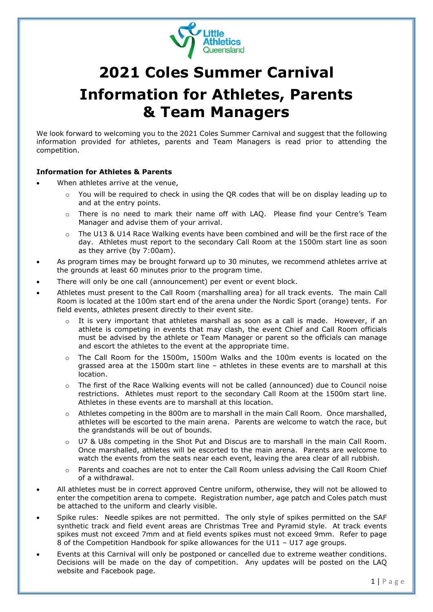

## **2021 Coles Summer Carnival Information for Athletes, Parents & Team Managers**

We look forward to welcoming you to the 2021 Coles Summer Carnival and suggest that the following information provided for athletes, parents and Team Managers is read prior to attending the competition.

## **Information for Athletes & Parents**

- When athletes arrive at the venue,
	- o You will be required to check in using the QR codes that will be on display leading up to and at the entry points.
	- o There is no need to mark their name off with LAQ. Please find your Centre's Team Manager and advise them of your arrival.
	- o The U13 & U14 Race Walking events have been combined and will be the first race of the day. Athletes must report to the secondary Call Room at the 1500m start line as soon as they arrive (by 7:00am).
- As program times may be brought forward up to 30 minutes, we recommend athletes arrive at the grounds at least 60 minutes prior to the program time.
- There will only be one call (announcement) per event or event block.
- Athletes must present to the Call Room (marshalling area) for all track events. The main Call Room is located at the 100m start end of the arena under the Nordic Sport (orange) tents. For field events, athletes present directly to their event site.
	- o It is very important that athletes marshall as soon as a call is made. However, if an athlete is competing in events that may clash, the event Chief and Call Room officials must be advised by the athlete or Team Manager or parent so the officials can manage and escort the athletes to the event at the appropriate time.
	- o The Call Room for the 1500m, 1500m Walks and the 100m events is located on the grassed area at the 1500m start line – athletes in these events are to marshall at this location.
	- o The first of the Race Walking events will not be called (announced) due to Council noise restrictions. Athletes must report to the secondary Call Room at the 1500m start line. Athletes in these events are to marshall at this location.
	- o Athletes competing in the 800m are to marshall in the main Call Room. Once marshalled, athletes will be escorted to the main arena. Parents are welcome to watch the race, but the grandstands will be out of bounds.
	- o U7 & U8s competing in the Shot Put and Discus are to marshall in the main Call Room. Once marshalled, athletes will be escorted to the main arena. Parents are welcome to watch the events from the seats near each event, leaving the area clear of all rubbish.
	- o Parents and coaches are not to enter the Call Room unless advising the Call Room Chief of a withdrawal.
- All athletes must be in correct approved Centre uniform, otherwise, they will not be allowed to enter the competition arena to compete. Registration number, age patch and Coles patch must be attached to the uniform and clearly visible.
- Spike rules: Needle spikes are not permitted. The only style of spikes permitted on the SAF synthetic track and field event areas are Christmas Tree and Pyramid style. At track events spikes must not exceed 7mm and at field events spikes must not exceed 9mm. Refer to page 8 of the Competition Handbook for spike allowances for the U11 – U17 age groups.
- Events at this Carnival will only be postponed or cancelled due to extreme weather conditions. Decisions will be made on the day of competition. Any updates will be posted on the LAQ website and Facebook page.